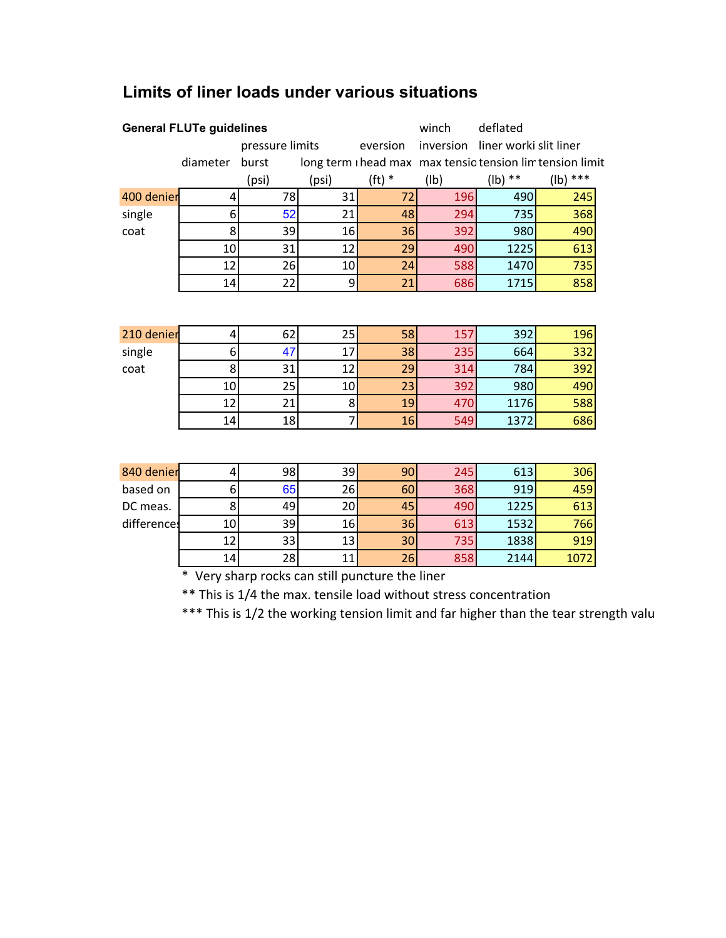| <b>General FLUTe guidelines</b> |          |                 |       |          | winch     | deflated               |                                                           |
|---------------------------------|----------|-----------------|-------|----------|-----------|------------------------|-----------------------------------------------------------|
|                                 |          | pressure limits |       | eversion | inversion | liner worki slit liner |                                                           |
|                                 | diameter | burst           |       |          |           |                        | long term i head max max tensio tension lim tension limit |
|                                 |          | (psi)           | (psi) | $(ft)$ * | (1b)      | $(lb)$ **              | $(lb)$ ***                                                |
| 400 denier                      | 4        | 78              | 31    | 72       | 196       | 490                    | 245                                                       |
| single                          | 6        | 52              | 21    | 48       | 294       | 735                    | 368                                                       |
| coat                            | 8        | 39              | 16    | 36       | 392       | 980                    | 490                                                       |
|                                 | 10       | 31              | 12    | 29       | 490       | 1225                   | 613                                                       |
|                                 | 12       | 26              | 10    | 24       | 588       | 1470                   | 735                                                       |
|                                 | 14       | 22              | 9     | 21       | 686       | 1715                   | 858                                                       |
|                                 |          |                 |       |          |           |                        |                                                           |
| 210 denier                      | 4        | 62              | 25    | 58       | 157       | 392                    | 196                                                       |
| single                          | 6        | 47              | 17    | 38       | 235       | 664                    | 332                                                       |
| coat                            | 8        | 31              | 12    | 29       | 314       | 784                    | 392                                                       |
|                                 | 10       | 25              | 10    | 23       | 392       | 980                    | 490                                                       |
|                                 | 12       | 21              | 8     | 19       | 470       | 1176                   | 588                                                       |
|                                 | 14       | 18              | 7     | 16       | 549       | 1372                   | 686                                                       |
|                                 |          |                 |       |          |           |                        |                                                           |
| 840 denier                      | 4        | 98              | 39    | 90       | 245       | 613                    | 306                                                       |
| based on                        | 6        | 65              | 26    | 60       | 368       | 919                    | 459                                                       |
| DC meas.                        | 8        | 49              | 20    | 45       | 490       | 1225                   | 613                                                       |
| differences                     | 10       | 39              | 16    | 36       | 613       | 1532                   | 766                                                       |
|                                 | 12       | 33              | 13    | 30       | 735       | 1838                   | 919                                                       |

## **Limits of liner loads under various situations**

\* Very sharp rocks can still puncture the liner

\*\* This is 1/4 the max. tensile load without stress concentration

\*\*\* This is 1/2 the working tension limit and far higher than the tear strength valu

14 28 11 2<mark>6</mark> 858 2144 1072